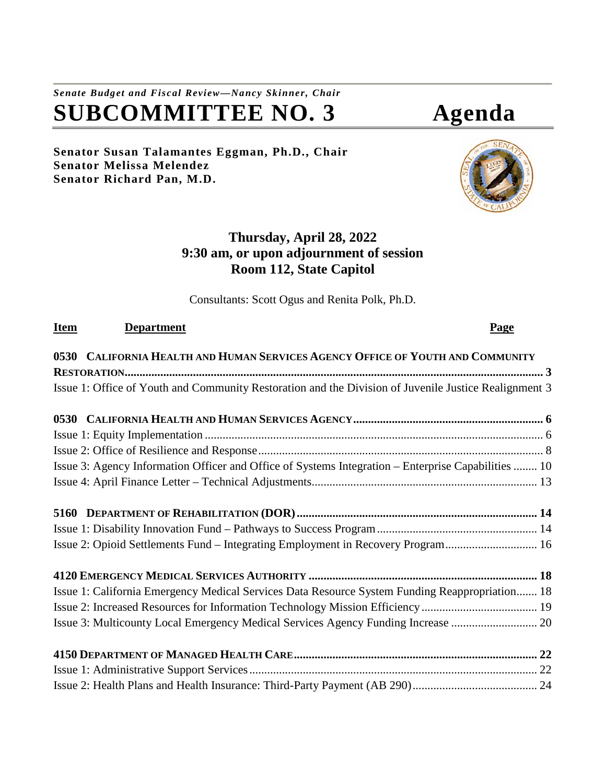# *Senate Budget and Fiscal Review—Nancy Skinner, Chair* **SUBCOMMITTEE NO. 3 Agenda**

**Senator Susan Talamantes Eggman, Ph.D., Chair Senator Melissa Melendez Senator Richard Pan, M.D.**

# **Thursday, April 28, 2022 9:30 am, or upon adjournment of session Room 112, State Capitol**

Consultants: Scott Ogus and Renita Polk, Ph.D.

# **Item Department Page 0530 [CALIFORNIA HEALTH AND HUMAN SERVICES AGENCY OFFICE OF YOUTH AND COMMUNITY](#page-2-0)  [RESTORATION.............................................................................................................................................](#page-2-0) 3** [Issue 1: Office of Youth and Community Restoration and the Division of Juvenile Justice Realignment](#page-2-1) 3 **0530 [CALIFORNIA HEALTH AND HUMAN SERVICES AGENCY................................................................](#page-5-0) 6** Issue 1: Equity Implementation [..................................................................................................................](#page-5-1) 6 [Issue 2: Office of Resilience and Response................................................................................................](#page-7-0) 8 [Issue 3: Agency Information Officer and Office of Systems Integration –](#page-9-0) Enterprise Capabilities ........ 10 Issue 4: April Finance Letter – [Technical Adjustments............................................................................](#page-12-0) 13 **5160 [DEPARTMENT OF REHABILITATION \(DOR\).................................................................................](#page-13-0) 14** Issue 1: Disability Innovation Fund – [Pathways to Success Program......................................................](#page-13-1) 14 Issue 2: Opioid Settlements Fund – [Integrating Employment in Recovery Program...............................](#page-15-0) 16 **4120 EMERGENCY MEDICAL SERVICES AUTHORITY [.............................................................................](#page-17-0) 18** [Issue 1: California Emergency Medical Services Data Resource System Funding Reappropriation.......](#page-17-1) 18 [Issue 2: Increased Resources for Information Technology Mission Efficiency.......................................](#page-18-0) 19 [Issue 3: Multicounty Local Emergency Medical Services Agency Funding Increase](#page-19-0) ............................. 20 **4150 [DEPARTMENT OF MANAGED HEALTH CARE..................................................................................](#page-21-0) 22** [Issue 1: Administrative Support Services.................................................................................................](#page-21-1) 22 [Issue 2: Health Plans and Health Insurance: Third-Party Payment \(AB 290\)..........................................](#page-23-0) 24

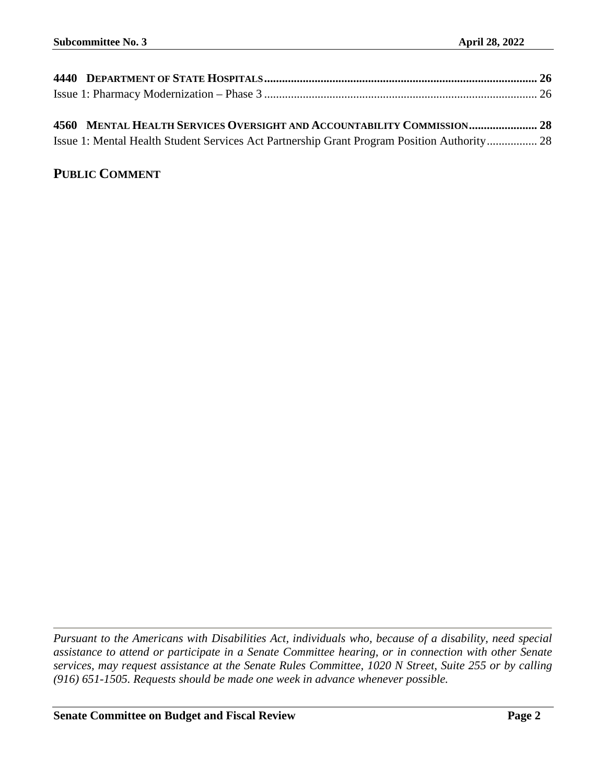| 4560 MENTAL HEALTH SERVICES OVERSIGHT AND ACCOUNTABILITY COMMISSION 28                      |
|---------------------------------------------------------------------------------------------|
| Issue 1: Mental Health Student Services Act Partnership Grant Program Position Authority 28 |
|                                                                                             |

# **PUBLIC COMMENT**

*Pursuant to the Americans with Disabilities Act, individuals who, because of a disability, need special assistance to attend or participate in a Senate Committee hearing, or in connection with other Senate services, may request assistance at the Senate Rules Committee, 1020 N Street, Suite 255 or by calling (916) 651-1505. Requests should be made one week in advance whenever possible.*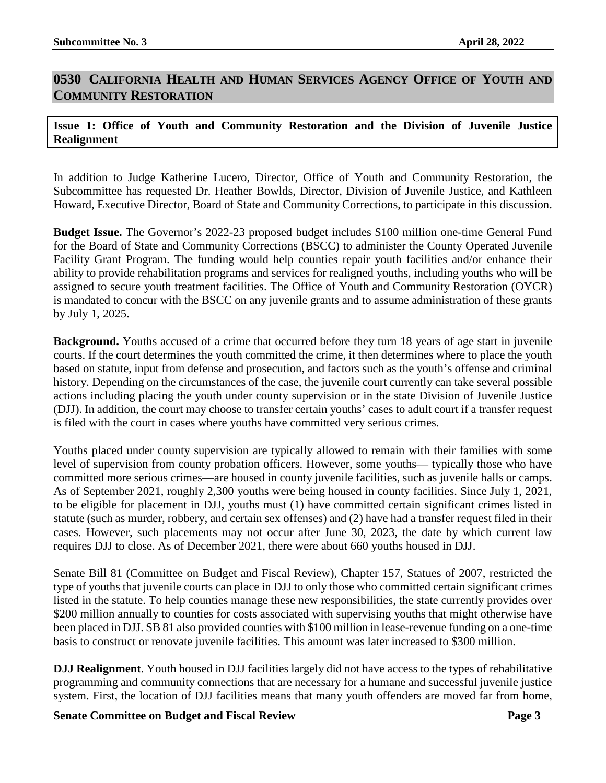## <span id="page-2-0"></span>**0530 CALIFORNIA HEALTH AND HUMAN SERVICES AGENCY OFFICE OF YOUTH AND COMMUNITY RESTORATION**

#### <span id="page-2-1"></span>**Issue 1: Office of Youth and Community Restoration and the Division of Juvenile Justice Realignment**

In addition to Judge Katherine Lucero, Director, Office of Youth and Community Restoration, the Subcommittee has requested Dr. Heather Bowlds, Director, Division of Juvenile Justice, and Kathleen Howard, Executive Director, Board of State and Community Corrections, to participate in this discussion.

**Budget Issue.** The Governor's 2022-23 proposed budget includes \$100 million one-time General Fund for the Board of State and Community Corrections (BSCC) to administer the County Operated Juvenile Facility Grant Program. The funding would help counties repair youth facilities and/or enhance their ability to provide rehabilitation programs and services for realigned youths, including youths who will be assigned to secure youth treatment facilities. The Office of Youth and Community Restoration (OYCR) is mandated to concur with the BSCC on any juvenile grants and to assume administration of these grants by July 1, 2025.

**Background.** Youths accused of a crime that occurred before they turn 18 years of age start in juvenile courts. If the court determines the youth committed the crime, it then determines where to place the youth based on statute, input from defense and prosecution, and factors such as the youth's offense and criminal history. Depending on the circumstances of the case, the juvenile court currently can take several possible actions including placing the youth under county supervision or in the state Division of Juvenile Justice (DJJ). In addition, the court may choose to transfer certain youths' cases to adult court if a transfer request is filed with the court in cases where youths have committed very serious crimes.

Youths placed under county supervision are typically allowed to remain with their families with some level of supervision from county probation officers. However, some youths— typically those who have committed more serious crimes—are housed in county juvenile facilities, such as juvenile halls or camps. As of September 2021, roughly 2,300 youths were being housed in county facilities. Since July 1, 2021, to be eligible for placement in DJJ, youths must (1) have committed certain significant crimes listed in statute (such as murder, robbery, and certain sex offenses) and (2) have had a transfer request filed in their cases. However, such placements may not occur after June 30, 2023, the date by which current law requires DJJ to close. As of December 2021, there were about 660 youths housed in DJJ.

Senate Bill 81 (Committee on Budget and Fiscal Review), Chapter 157, Statues of 2007, restricted the type of youths that juvenile courts can place in DJJ to only those who committed certain significant crimes listed in the statute. To help counties manage these new responsibilities, the state currently provides over \$200 million annually to counties for costs associated with supervising youths that might otherwise have been placed in DJJ. SB 81 also provided counties with \$100 million in lease-revenue funding on a one-time basis to construct or renovate juvenile facilities. This amount was later increased to \$300 million.

**DJJ Realignment**. Youth housed in DJJ facilities largely did not have access to the types of rehabilitative programming and community connections that are necessary for a humane and successful juvenile justice system. First, the location of DJJ facilities means that many youth offenders are moved far from home,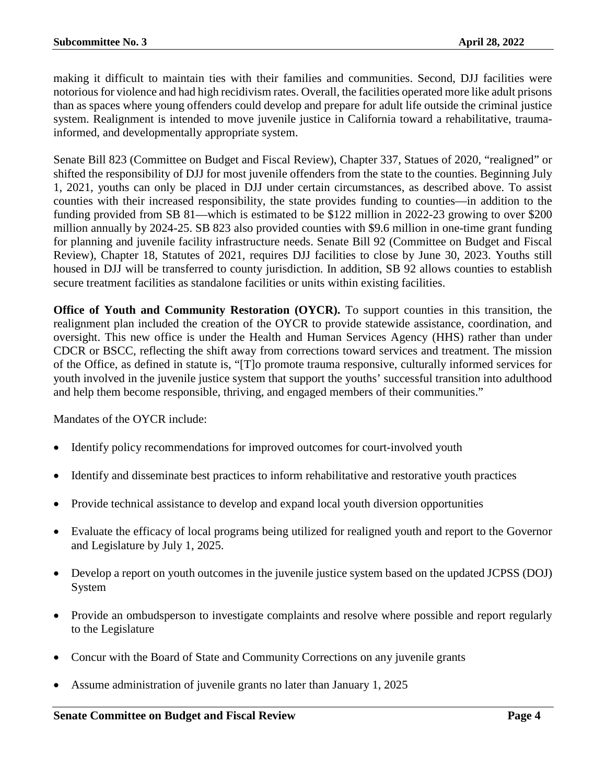making it difficult to maintain ties with their families and communities. Second, DJJ facilities were notorious for violence and had high recidivism rates. Overall, the facilities operated more like adult prisons than as spaces where young offenders could develop and prepare for adult life outside the criminal justice system. Realignment is intended to move juvenile justice in California toward a rehabilitative, traumainformed, and developmentally appropriate system.

Senate Bill 823 (Committee on Budget and Fiscal Review), Chapter 337, Statues of 2020, "realigned" or shifted the responsibility of DJJ for most juvenile offenders from the state to the counties. Beginning July 1, 2021, youths can only be placed in DJJ under certain circumstances, as described above. To assist counties with their increased responsibility, the state provides funding to counties—in addition to the funding provided from SB 81—which is estimated to be \$122 million in 2022-23 growing to over \$200 million annually by 2024-25. SB 823 also provided counties with \$9.6 million in one-time grant funding for planning and juvenile facility infrastructure needs. Senate Bill 92 (Committee on Budget and Fiscal Review), Chapter 18, Statutes of 2021, requires DJJ facilities to close by June 30, 2023. Youths still housed in DJJ will be transferred to county jurisdiction. In addition, SB 92 allows counties to establish secure treatment facilities as standalone facilities or units within existing facilities.

**Office of Youth and Community Restoration (OYCR).** To support counties in this transition, the realignment plan included the creation of the OYCR to provide statewide assistance, coordination, and oversight. This new office is under the Health and Human Services Agency (HHS) rather than under CDCR or BSCC, reflecting the shift away from corrections toward services and treatment. The mission of the Office, as defined in statute is, "[T]o promote trauma responsive, culturally informed services for youth involved in the juvenile justice system that support the youths' successful transition into adulthood and help them become responsible, thriving, and engaged members of their communities."

Mandates of the OYCR include:

- Identify policy recommendations for improved outcomes for court-involved youth
- Identify and disseminate best practices to inform rehabilitative and restorative youth practices
- Provide technical assistance to develop and expand local youth diversion opportunities
- Evaluate the efficacy of local programs being utilized for realigned youth and report to the Governor and Legislature by July 1, 2025.
- Develop a report on youth outcomes in the juvenile justice system based on the updated JCPSS (DOJ) System
- Provide an ombudsperson to investigate complaints and resolve where possible and report regularly to the Legislature
- Concur with the Board of State and Community Corrections on any juvenile grants
- Assume administration of juvenile grants no later than January 1, 2025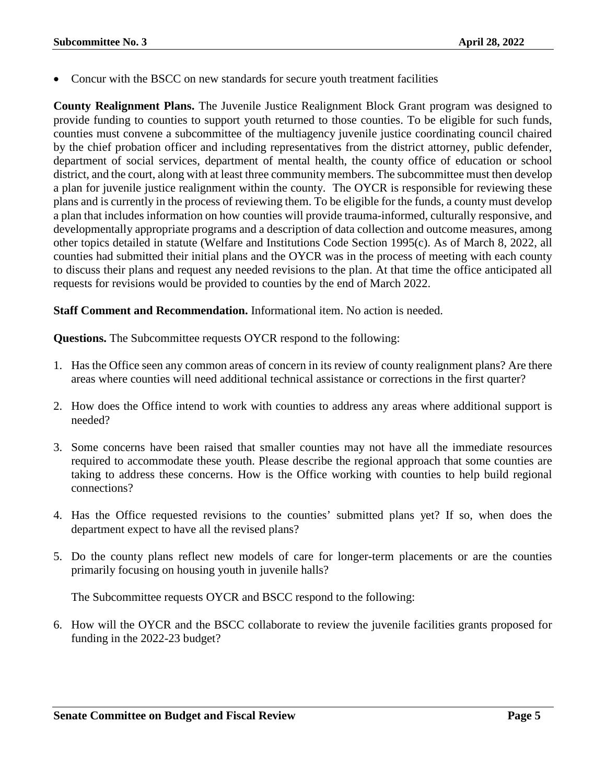• Concur with the BSCC on new standards for secure youth treatment facilities

**County Realignment Plans.** The Juvenile Justice Realignment Block Grant program was designed to provide funding to counties to support youth returned to those counties. To be eligible for such funds, counties must convene a subcommittee of the multiagency juvenile justice coordinating council chaired by the chief probation officer and including representatives from the district attorney, public defender, department of social services, department of mental health, the county office of education or school district, and the court, along with at least three community members. The subcommittee must then develop a plan for juvenile justice realignment within the county. The OYCR is responsible for reviewing these plans and is currently in the process of reviewing them. To be eligible for the funds, a county must develop a plan that includes information on how counties will provide trauma-informed, culturally responsive, and developmentally appropriate programs and a description of data collection and outcome measures, among other topics detailed in statute (Welfare and Institutions Code Section 1995(c). As of March 8, 2022, all counties had submitted their initial plans and the OYCR was in the process of meeting with each county to discuss their plans and request any needed revisions to the plan. At that time the office anticipated all requests for revisions would be provided to counties by the end of March 2022.

**Staff Comment and Recommendation.** Informational item. No action is needed.

**Questions.** The Subcommittee requests OYCR respond to the following:

- 1. Has the Office seen any common areas of concern in its review of county realignment plans? Are there areas where counties will need additional technical assistance or corrections in the first quarter?
- 2. How does the Office intend to work with counties to address any areas where additional support is needed?
- 3. Some concerns have been raised that smaller counties may not have all the immediate resources required to accommodate these youth. Please describe the regional approach that some counties are taking to address these concerns. How is the Office working with counties to help build regional connections?
- 4. Has the Office requested revisions to the counties' submitted plans yet? If so, when does the department expect to have all the revised plans?
- 5. Do the county plans reflect new models of care for longer-term placements or are the counties primarily focusing on housing youth in juvenile halls?

The Subcommittee requests OYCR and BSCC respond to the following:

6. How will the OYCR and the BSCC collaborate to review the juvenile facilities grants proposed for funding in the 2022-23 budget?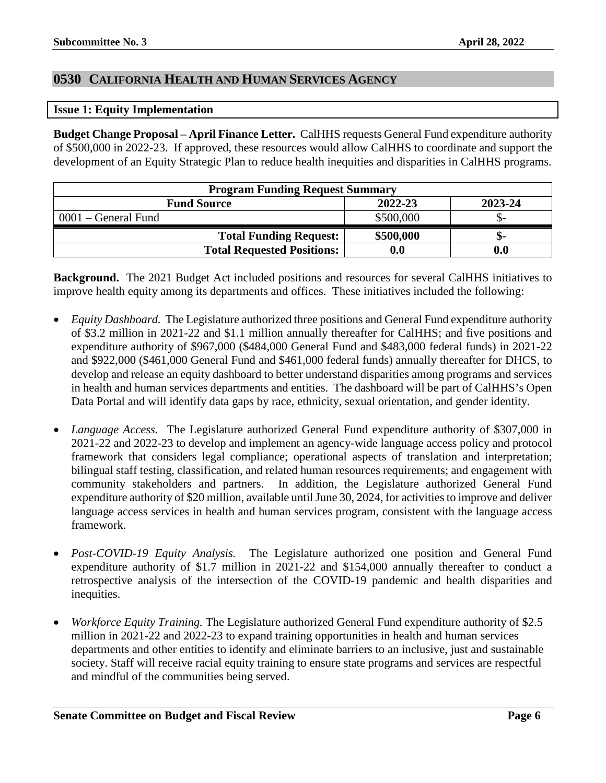### <span id="page-5-0"></span>**0530 CALIFORNIA HEALTH AND HUMAN SERVICES AGENCY**

#### <span id="page-5-1"></span>**Issue 1: Equity Implementation**

**Budget Change Proposal – April Finance Letter.** CalHHS requests General Fund expenditure authority of \$500,000 in 2022-23. If approved, these resources would allow CalHHS to coordinate and support the development of an Equity Strategic Plan to reduce health inequities and disparities in CalHHS programs.

| <b>Program Funding Request Summary</b> |           |         |
|----------------------------------------|-----------|---------|
| <b>Fund Source</b>                     | 2022-23   | 2023-24 |
| 0001 – General Fund                    | \$500,000 |         |
| <b>Total Funding Request:</b>          | \$500,000 | ת-      |
| <b>Total Requested Positions:</b>      | $0.0\,$   |         |

**Background.** The 2021 Budget Act included positions and resources for several CalHHS initiatives to improve health equity among its departments and offices. These initiatives included the following:

- *Equity Dashboard.* The Legislature authorized three positions and General Fund expenditure authority of \$3.2 million in 2021-22 and \$1.1 million annually thereafter for CalHHS; and five positions and expenditure authority of \$967,000 (\$484,000 General Fund and \$483,000 federal funds) in 2021-22 and \$922,000 (\$461,000 General Fund and \$461,000 federal funds) annually thereafter for DHCS, to develop and release an equity dashboard to better understand disparities among programs and services in health and human services departments and entities. The dashboard will be part of CalHHS's Open Data Portal and will identify data gaps by race, ethnicity, sexual orientation, and gender identity.
- *Language Access.* The Legislature authorized General Fund expenditure authority of \$307,000 in 2021-22 and 2022-23 to develop and implement an agency-wide language access policy and protocol framework that considers legal compliance; operational aspects of translation and interpretation; bilingual staff testing, classification, and related human resources requirements; and engagement with community stakeholders and partners. In addition, the Legislature authorized General Fund expenditure authority of \$20 million, available until June 30, 2024, for activities to improve and deliver language access services in health and human services program, consistent with the language access framework.
- *Post-COVID-19 Equity Analysis.* The Legislature authorized one position and General Fund expenditure authority of \$1.7 million in 2021-22 and \$154,000 annually thereafter to conduct a retrospective analysis of the intersection of the COVID-19 pandemic and health disparities and inequities.
- *Workforce Equity Training.* The Legislature authorized General Fund expenditure authority of \$2.5 million in 2021-22 and 2022-23 to expand training opportunities in health and human services departments and other entities to identify and eliminate barriers to an inclusive, just and sustainable society. Staff will receive racial equity training to ensure state programs and services are respectful and mindful of the communities being served.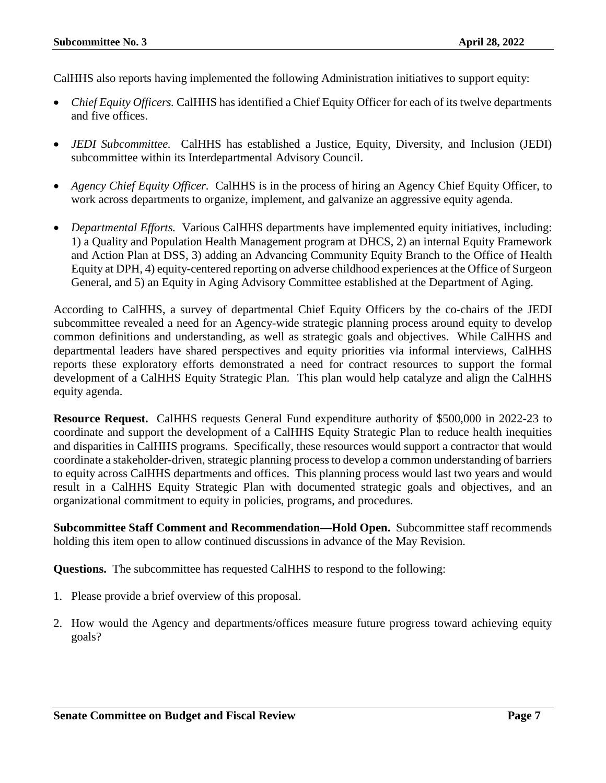CalHHS also reports having implemented the following Administration initiatives to support equity:

- *Chief Equity Officers.* CalHHS has identified a Chief Equity Officer for each of its twelve departments and five offices.
- *JEDI Subcommittee.* CalHHS has established a Justice, Equity, Diversity, and Inclusion (JEDI) subcommittee within its Interdepartmental Advisory Council.
- *Agency Chief Equity Officer.* CalHHS is in the process of hiring an Agency Chief Equity Officer, to work across departments to organize, implement, and galvanize an aggressive equity agenda.
- *Departmental Efforts.* Various CalHHS departments have implemented equity initiatives, including: 1) a Quality and Population Health Management program at DHCS, 2) an internal Equity Framework and Action Plan at DSS, 3) adding an Advancing Community Equity Branch to the Office of Health Equity at DPH, 4) equity-centered reporting on adverse childhood experiences at the Office of Surgeon General, and 5) an Equity in Aging Advisory Committee established at the Department of Aging.

According to CalHHS, a survey of departmental Chief Equity Officers by the co-chairs of the JEDI subcommittee revealed a need for an Agency-wide strategic planning process around equity to develop common definitions and understanding, as well as strategic goals and objectives. While CalHHS and departmental leaders have shared perspectives and equity priorities via informal interviews, CalHHS reports these exploratory efforts demonstrated a need for contract resources to support the formal development of a CalHHS Equity Strategic Plan. This plan would help catalyze and align the CalHHS equity agenda.

**Resource Request.** CalHHS requests General Fund expenditure authority of \$500,000 in 2022-23 to coordinate and support the development of a CalHHS Equity Strategic Plan to reduce health inequities and disparities in CalHHS programs. Specifically, these resources would support a contractor that would coordinate a stakeholder-driven, strategic planning process to develop a common understanding of barriers to equity across CalHHS departments and offices. This planning process would last two years and would result in a CalHHS Equity Strategic Plan with documented strategic goals and objectives, and an organizational commitment to equity in policies, programs, and procedures.

**Subcommittee Staff Comment and Recommendation—Hold Open.** Subcommittee staff recommends holding this item open to allow continued discussions in advance of the May Revision.

**Questions.** The subcommittee has requested CalHHS to respond to the following:

- 1. Please provide a brief overview of this proposal.
- 2. How would the Agency and departments/offices measure future progress toward achieving equity goals?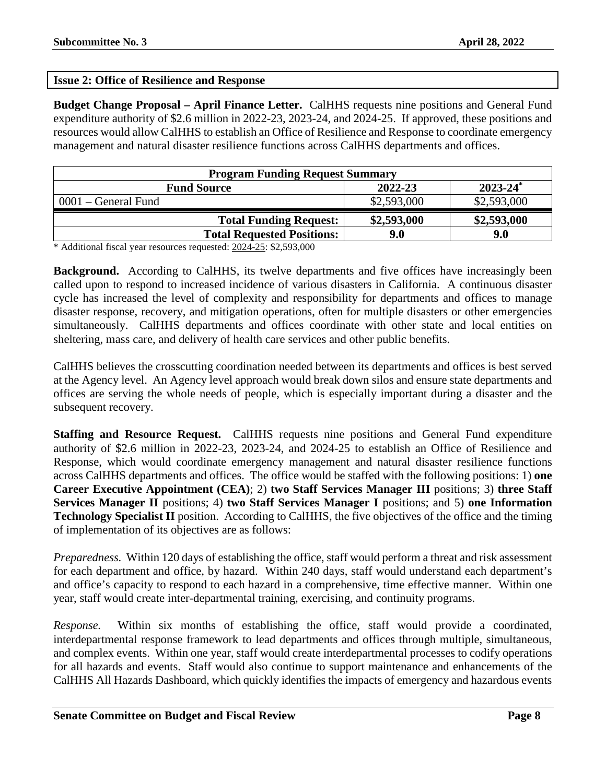#### <span id="page-7-0"></span>**Issue 2: Office of Resilience and Response**

**Budget Change Proposal – April Finance Letter.** CalHHS requests nine positions and General Fund expenditure authority of \$2.6 million in 2022-23, 2023-24, and 2024-25. If approved, these positions and resources would allow CalHHS to establish an Office of Resilience and Response to coordinate emergency management and natural disaster resilience functions across CalHHS departments and offices.

| <b>Program Funding Request Summary</b> |             |               |
|----------------------------------------|-------------|---------------|
| <b>Fund Source</b>                     | 2022-23     | $2023 - 24^*$ |
| 0001 – General Fund                    | \$2,593,000 | \$2,593,000   |
| <b>Total Funding Request:</b>          | \$2,593,000 | \$2,593,000   |
| <b>Total Requested Positions:</b>      | 9.0         | 9.0           |

\* Additional fiscal year resources requested: 2024-25: \$2,593,000

**Background.** According to CalHHS, its twelve departments and five offices have increasingly been called upon to respond to increased incidence of various disasters in California. A continuous disaster cycle has increased the level of complexity and responsibility for departments and offices to manage disaster response, recovery, and mitigation operations, often for multiple disasters or other emergencies simultaneously. CalHHS departments and offices coordinate with other state and local entities on sheltering, mass care, and delivery of health care services and other public benefits.

CalHHS believes the crosscutting coordination needed between its departments and offices is best served at the Agency level. An Agency level approach would break down silos and ensure state departments and offices are serving the whole needs of people, which is especially important during a disaster and the subsequent recovery.

**Staffing and Resource Request.** CalHHS requests nine positions and General Fund expenditure authority of \$2.6 million in 2022-23, 2023-24, and 2024-25 to establish an Office of Resilience and Response, which would coordinate emergency management and natural disaster resilience functions across CalHHS departments and offices. The office would be staffed with the following positions: 1) **one Career Executive Appointment (CEA)**; 2) **two Staff Services Manager III** positions; 3) **three Staff Services Manager II** positions; 4) **two Staff Services Manager I** positions; and 5) **one Information Technology Specialist II** position. According to CalHHS, the five objectives of the office and the timing of implementation of its objectives are as follows:

*Preparedness.* Within 120 days of establishing the office, staff would perform a threat and risk assessment for each department and office, by hazard. Within 240 days, staff would understand each department's and office's capacity to respond to each hazard in a comprehensive, time effective manner. Within one year, staff would create inter-departmental training, exercising, and continuity programs.

*Response.* Within six months of establishing the office, staff would provide a coordinated, interdepartmental response framework to lead departments and offices through multiple, simultaneous, and complex events. Within one year, staff would create interdepartmental processes to codify operations for all hazards and events. Staff would also continue to support maintenance and enhancements of the CalHHS All Hazards Dashboard, which quickly identifies the impacts of emergency and hazardous events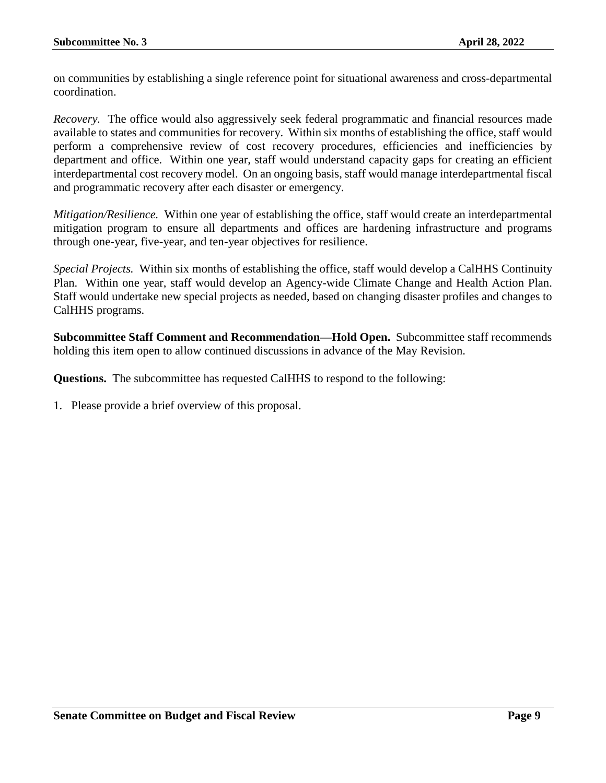on communities by establishing a single reference point for situational awareness and cross-departmental coordination.

*Recovery.* The office would also aggressively seek federal programmatic and financial resources made available to states and communities for recovery. Within six months of establishing the office, staff would perform a comprehensive review of cost recovery procedures, efficiencies and inefficiencies by department and office. Within one year, staff would understand capacity gaps for creating an efficient interdepartmental cost recovery model. On an ongoing basis, staff would manage interdepartmental fiscal and programmatic recovery after each disaster or emergency.

*Mitigation/Resilience.* Within one year of establishing the office, staff would create an interdepartmental mitigation program to ensure all departments and offices are hardening infrastructure and programs through one-year, five-year, and ten-year objectives for resilience.

*Special Projects.* Within six months of establishing the office, staff would develop a CalHHS Continuity Plan. Within one year, staff would develop an Agency-wide Climate Change and Health Action Plan. Staff would undertake new special projects as needed, based on changing disaster profiles and changes to CalHHS programs.

**Subcommittee Staff Comment and Recommendation—Hold Open.** Subcommittee staff recommends holding this item open to allow continued discussions in advance of the May Revision.

**Questions.** The subcommittee has requested CalHHS to respond to the following: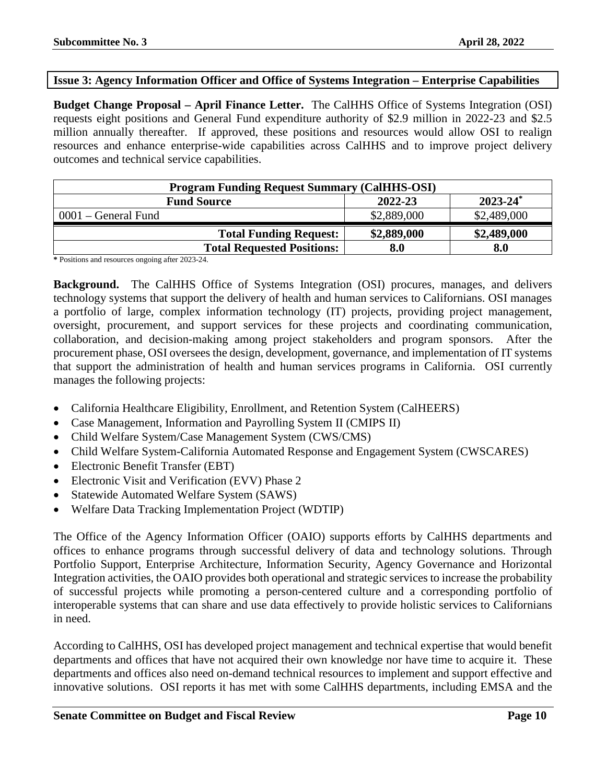#### <span id="page-9-0"></span>**Issue 3: Agency Information Officer and Office of Systems Integration – Enterprise Capabilities**

**Budget Change Proposal – April Finance Letter.** The CalHHS Office of Systems Integration (OSI) requests eight positions and General Fund expenditure authority of \$2.9 million in 2022-23 and \$2.5 million annually thereafter. If approved, these positions and resources would allow OSI to realign resources and enhance enterprise-wide capabilities across CalHHS and to improve project delivery outcomes and technical service capabilities.

| <b>Program Funding Request Summary (CalHHS-OSI)</b> |             |             |  |
|-----------------------------------------------------|-------------|-------------|--|
| $2023 - 24^*$<br>2022-23<br><b>Fund Source</b>      |             |             |  |
| $0001$ – General Fund                               | \$2,889,000 | \$2,489,000 |  |
| <b>Total Funding Request:</b>                       | \$2,889,000 | \$2,489,000 |  |
| <b>Total Requested Positions:</b>                   | 8.0         | 8.0         |  |

**\*** Positions and resources ongoing after 2023-24.

**Background.** The CalHHS Office of Systems Integration (OSI) procures, manages, and delivers technology systems that support the delivery of health and human services to Californians. OSI manages a portfolio of large, complex information technology (IT) projects, providing project management, oversight, procurement, and support services for these projects and coordinating communication, collaboration, and decision-making among project stakeholders and program sponsors. After the procurement phase, OSI oversees the design, development, governance, and implementation of IT systems that support the administration of health and human services programs in California. OSI currently manages the following projects:

- California Healthcare Eligibility, Enrollment, and Retention System (CalHEERS)
- Case Management, Information and Payrolling System II (CMIPS II)
- Child Welfare System/Case Management System (CWS/CMS)
- Child Welfare System-California Automated Response and Engagement System (CWSCARES)
- Electronic Benefit Transfer (EBT)
- Electronic Visit and Verification (EVV) Phase 2
- Statewide Automated Welfare System (SAWS)
- Welfare Data Tracking Implementation Project (WDTIP)

The Office of the Agency Information Officer (OAIO) supports efforts by CalHHS departments and offices to enhance programs through successful delivery of data and technology solutions. Through Portfolio Support, Enterprise Architecture, Information Security, Agency Governance and Horizontal Integration activities, the OAIO provides both operational and strategic services to increase the probability of successful projects while promoting a person-centered culture and a corresponding portfolio of interoperable systems that can share and use data effectively to provide holistic services to Californians in need.

According to CalHHS, OSI has developed project management and technical expertise that would benefit departments and offices that have not acquired their own knowledge nor have time to acquire it. These departments and offices also need on-demand technical resources to implement and support effective and innovative solutions. OSI reports it has met with some CalHHS departments, including EMSA and the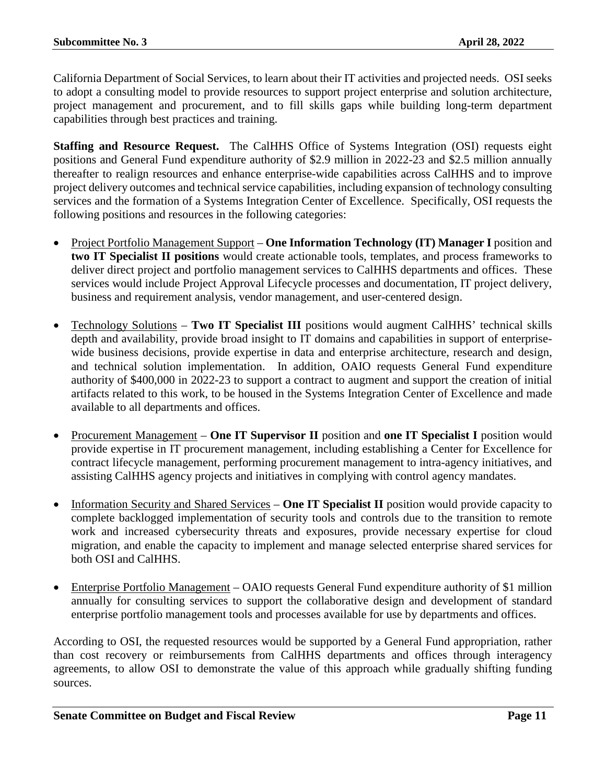California Department of Social Services, to learn about their IT activities and projected needs. OSI seeks to adopt a consulting model to provide resources to support project enterprise and solution architecture, project management and procurement, and to fill skills gaps while building long-term department capabilities through best practices and training.

**Staffing and Resource Request.** The CalHHS Office of Systems Integration (OSI) requests eight positions and General Fund expenditure authority of \$2.9 million in 2022-23 and \$2.5 million annually thereafter to realign resources and enhance enterprise-wide capabilities across CalHHS and to improve project delivery outcomes and technical service capabilities, including expansion of technology consulting services and the formation of a Systems Integration Center of Excellence. Specifically, OSI requests the following positions and resources in the following categories:

- Project Portfolio Management Support **One Information Technology (IT) Manager I** position and **two IT Specialist II positions** would create actionable tools, templates, and process frameworks to deliver direct project and portfolio management services to CalHHS departments and offices. These services would include Project Approval Lifecycle processes and documentation, IT project delivery, business and requirement analysis, vendor management, and user-centered design.
- Technology Solutions **Two IT Specialist III** positions would augment CalHHS' technical skills depth and availability, provide broad insight to IT domains and capabilities in support of enterprisewide business decisions, provide expertise in data and enterprise architecture, research and design, and technical solution implementation. In addition, OAIO requests General Fund expenditure authority of \$400,000 in 2022-23 to support a contract to augment and support the creation of initial artifacts related to this work, to be housed in the Systems Integration Center of Excellence and made available to all departments and offices.
- Procurement Management **One IT Supervisor II** position and **one IT Specialist I** position would provide expertise in IT procurement management, including establishing a Center for Excellence for contract lifecycle management, performing procurement management to intra-agency initiatives, and assisting CalHHS agency projects and initiatives in complying with control agency mandates.
- Information Security and Shared Services **One IT Specialist II** position would provide capacity to complete backlogged implementation of security tools and controls due to the transition to remote work and increased cybersecurity threats and exposures, provide necessary expertise for cloud migration, and enable the capacity to implement and manage selected enterprise shared services for both OSI and CalHHS.
- Enterprise Portfolio Management OAIO requests General Fund expenditure authority of \$1 million annually for consulting services to support the collaborative design and development of standard enterprise portfolio management tools and processes available for use by departments and offices.

According to OSI, the requested resources would be supported by a General Fund appropriation, rather than cost recovery or reimbursements from CalHHS departments and offices through interagency agreements, to allow OSI to demonstrate the value of this approach while gradually shifting funding sources.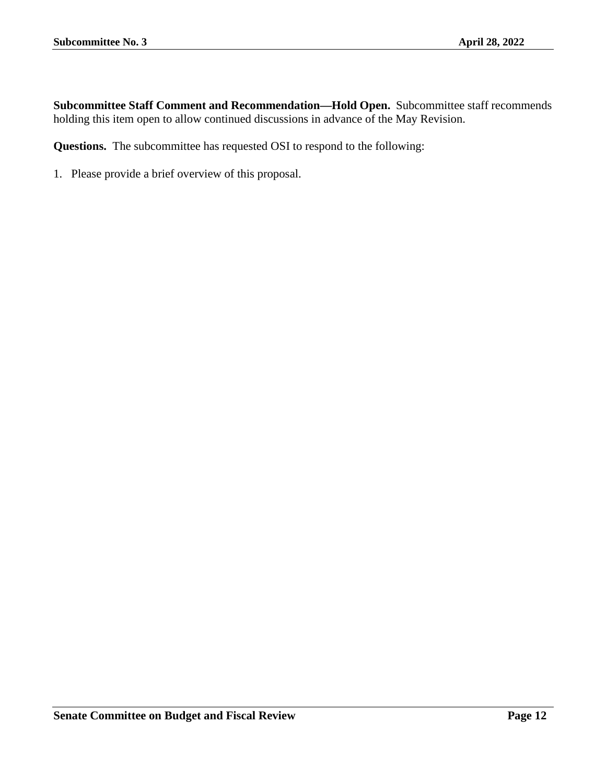**Subcommittee Staff Comment and Recommendation—Hold Open.** Subcommittee staff recommends holding this item open to allow continued discussions in advance of the May Revision.

**Questions.** The subcommittee has requested OSI to respond to the following: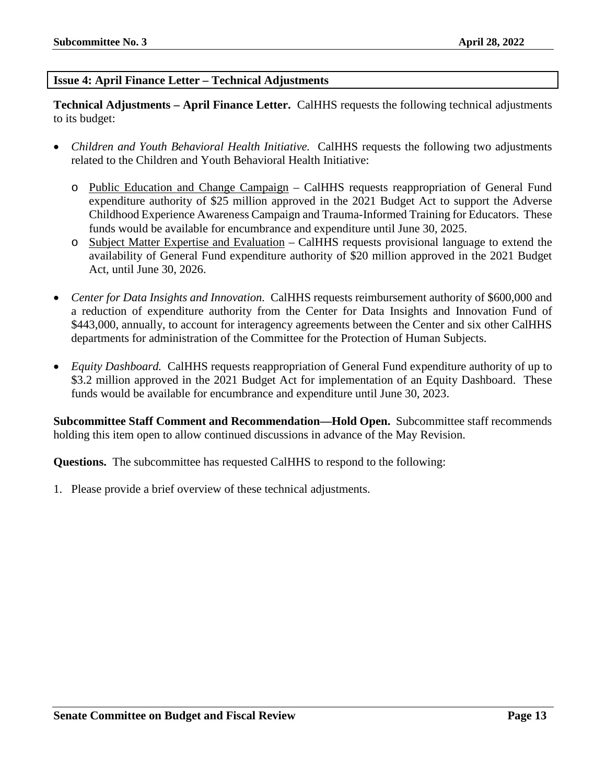#### <span id="page-12-0"></span>**Issue 4: April Finance Letter – Technical Adjustments**

**Technical Adjustments – April Finance Letter.** CalHHS requests the following technical adjustments to its budget:

- *Children and Youth Behavioral Health Initiative.* CalHHS requests the following two adjustments related to the Children and Youth Behavioral Health Initiative:
	- o Public Education and Change Campaign CalHHS requests reappropriation of General Fund expenditure authority of \$25 million approved in the 2021 Budget Act to support the Adverse Childhood Experience Awareness Campaign and Trauma-Informed Training for Educators. These funds would be available for encumbrance and expenditure until June 30, 2025.
	- o Subject Matter Expertise and Evaluation CalHHS requests provisional language to extend the availability of General Fund expenditure authority of \$20 million approved in the 2021 Budget Act, until June 30, 2026.
- *Center for Data Insights and Innovation.* CalHHS requests reimbursement authority of \$600,000 and a reduction of expenditure authority from the Center for Data Insights and Innovation Fund of \$443,000, annually, to account for interagency agreements between the Center and six other CalHHS departments for administration of the Committee for the Protection of Human Subjects.
- *Equity Dashboard.* CalHHS requests reappropriation of General Fund expenditure authority of up to \$3.2 million approved in the 2021 Budget Act for implementation of an Equity Dashboard. These funds would be available for encumbrance and expenditure until June 30, 2023.

**Subcommittee Staff Comment and Recommendation—Hold Open.** Subcommittee staff recommends holding this item open to allow continued discussions in advance of the May Revision.

**Questions.** The subcommittee has requested CalHHS to respond to the following:

1. Please provide a brief overview of these technical adjustments.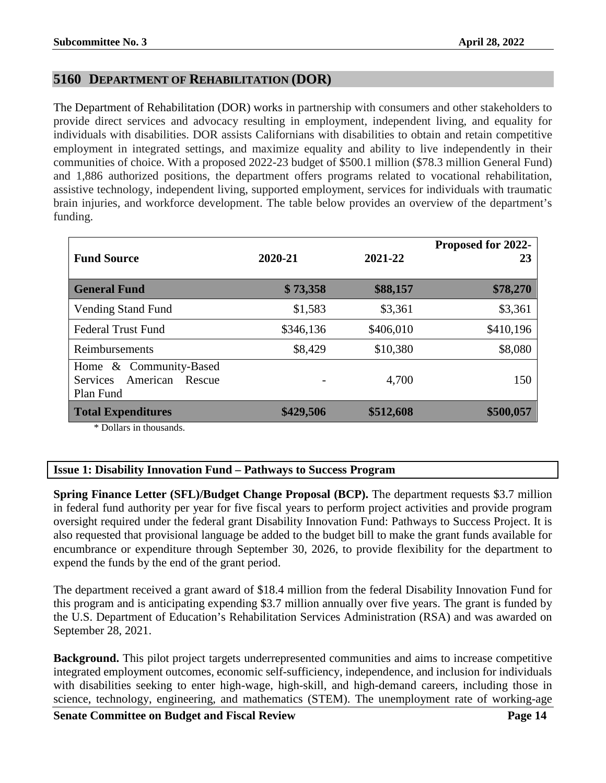#### <span id="page-13-0"></span>**5160 DEPARTMENT OF REHABILITATION (DOR)**

The Department of Rehabilitation (DOR) works in partnership with consumers and other stakeholders to provide direct services and advocacy resulting in employment, independent living, and equality for individuals with disabilities. DOR assists Californians with disabilities to obtain and retain competitive employment in integrated settings, and maximize equality and ability to live independently in their communities of choice. With a proposed 2022-23 budget of \$500.1 million (\$78.3 million General Fund) and 1,886 authorized positions, the department offers programs related to vocational rehabilitation, assistive technology, independent living, supported employment, services for individuals with traumatic brain injuries, and workforce development. The table below provides an overview of the department's funding.

| <b>Fund Source</b>                                                           | 2020-21   | 2021-22   | Proposed for 2022-<br>23 |
|------------------------------------------------------------------------------|-----------|-----------|--------------------------|
| <b>General Fund</b>                                                          | \$73,358  | \$88,157  | \$78,270                 |
| <b>Vending Stand Fund</b>                                                    | \$1,583   | \$3,361   | \$3,361                  |
| <b>Federal Trust Fund</b>                                                    | \$346,136 | \$406,010 | \$410,196                |
| Reimbursements                                                               | \$8,429   | \$10,380  | \$8,080                  |
| Home & Community-Based<br><b>Services</b><br>American<br>Rescue<br>Plan Fund |           | 4,700     | 150                      |
| <b>Total Expenditures</b>                                                    | \$429,506 | \$512,608 | \$500,057                |
| * Dollars in thousands.                                                      |           |           |                          |

#### <span id="page-13-1"></span>**Issue 1: Disability Innovation Fund – Pathways to Success Program**

**Spring Finance Letter (SFL)/Budget Change Proposal (BCP).** The department requests \$3.7 million in federal fund authority per year for five fiscal years to perform project activities and provide program oversight required under the federal grant Disability Innovation Fund: Pathways to Success Project. It is also requested that provisional language be added to the budget bill to make the grant funds available for encumbrance or expenditure through September 30, 2026, to provide flexibility for the department to expend the funds by the end of the grant period.

The department received a grant award of \$18.4 million from the federal Disability Innovation Fund for this program and is anticipating expending \$3.7 million annually over five years. The grant is funded by the U.S. Department of Education's Rehabilitation Services Administration (RSA) and was awarded on September 28, 2021.

**Background.** This pilot project targets underrepresented communities and aims to increase competitive integrated employment outcomes, economic self-sufficiency, independence, and inclusion for individuals with disabilities seeking to enter high-wage, high-skill, and high-demand careers, including those in science, technology, engineering, and mathematics (STEM). The unemployment rate of working-age

**Senate Committee on Budget and Fiscal Review <b>Page 14 Page 14**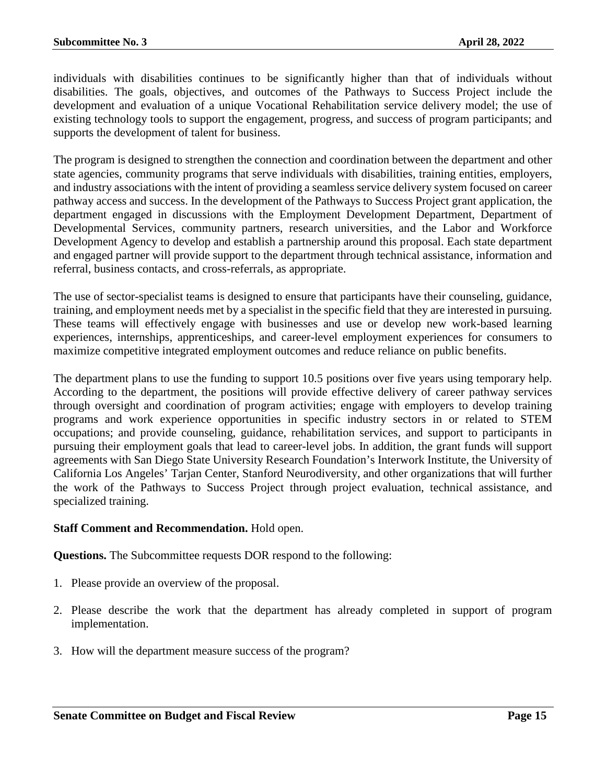individuals with disabilities continues to be significantly higher than that of individuals without disabilities. The goals, objectives, and outcomes of the Pathways to Success Project include the development and evaluation of a unique Vocational Rehabilitation service delivery model; the use of existing technology tools to support the engagement, progress, and success of program participants; and supports the development of talent for business.

The program is designed to strengthen the connection and coordination between the department and other state agencies, community programs that serve individuals with disabilities, training entities, employers, and industry associations with the intent of providing a seamless service delivery system focused on career pathway access and success. In the development of the Pathways to Success Project grant application, the department engaged in discussions with the Employment Development Department, Department of Developmental Services, community partners, research universities, and the Labor and Workforce Development Agency to develop and establish a partnership around this proposal. Each state department and engaged partner will provide support to the department through technical assistance, information and referral, business contacts, and cross-referrals, as appropriate.

The use of sector-specialist teams is designed to ensure that participants have their counseling, guidance, training, and employment needs met by a specialist in the specific field that they are interested in pursuing. These teams will effectively engage with businesses and use or develop new work-based learning experiences, internships, apprenticeships, and career-level employment experiences for consumers to maximize competitive integrated employment outcomes and reduce reliance on public benefits.

The department plans to use the funding to support 10.5 positions over five years using temporary help. According to the department, the positions will provide effective delivery of career pathway services through oversight and coordination of program activities; engage with employers to develop training programs and work experience opportunities in specific industry sectors in or related to STEM occupations; and provide counseling, guidance, rehabilitation services, and support to participants in pursuing their employment goals that lead to career-level jobs. In addition, the grant funds will support agreements with San Diego State University Research Foundation's Interwork Institute, the University of California Los Angeles' Tarjan Center, Stanford Neurodiversity, and other organizations that will further the work of the Pathways to Success Project through project evaluation, technical assistance, and specialized training.

#### **Staff Comment and Recommendation.** Hold open.

**Questions.** The Subcommittee requests DOR respond to the following:

- 1. Please provide an overview of the proposal.
- 2. Please describe the work that the department has already completed in support of program implementation.
- 3. How will the department measure success of the program?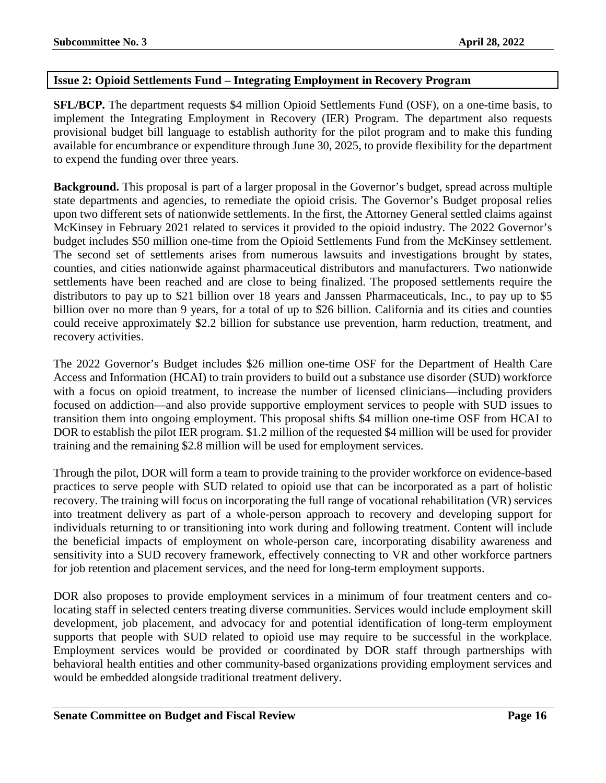#### <span id="page-15-0"></span>**Issue 2: Opioid Settlements Fund – Integrating Employment in Recovery Program**

**SFL/BCP.** The department requests \$4 million Opioid Settlements Fund (OSF), on a one-time basis, to implement the Integrating Employment in Recovery (IER) Program. The department also requests provisional budget bill language to establish authority for the pilot program and to make this funding available for encumbrance or expenditure through June 30, 2025, to provide flexibility for the department to expend the funding over three years.

**Background.** This proposal is part of a larger proposal in the Governor's budget, spread across multiple state departments and agencies, to remediate the opioid crisis. The Governor's Budget proposal relies upon two different sets of nationwide settlements. In the first, the Attorney General settled claims against McKinsey in February 2021 related to services it provided to the opioid industry. The 2022 Governor's budget includes \$50 million one-time from the Opioid Settlements Fund from the McKinsey settlement. The second set of settlements arises from numerous lawsuits and investigations brought by states, counties, and cities nationwide against pharmaceutical distributors and manufacturers. Two nationwide settlements have been reached and are close to being finalized. The proposed settlements require the distributors to pay up to \$21 billion over 18 years and Janssen Pharmaceuticals, Inc., to pay up to \$5 billion over no more than 9 years, for a total of up to \$26 billion. California and its cities and counties could receive approximately \$2.2 billion for substance use prevention, harm reduction, treatment, and recovery activities.

The 2022 Governor's Budget includes \$26 million one-time OSF for the Department of Health Care Access and Information (HCAI) to train providers to build out a substance use disorder (SUD) workforce with a focus on opioid treatment, to increase the number of licensed clinicians—including providers focused on addiction—and also provide supportive employment services to people with SUD issues to transition them into ongoing employment. This proposal shifts \$4 million one-time OSF from HCAI to DOR to establish the pilot IER program. \$1.2 million of the requested \$4 million will be used for provider training and the remaining \$2.8 million will be used for employment services.

Through the pilot, DOR will form a team to provide training to the provider workforce on evidence-based practices to serve people with SUD related to opioid use that can be incorporated as a part of holistic recovery. The training will focus on incorporating the full range of vocational rehabilitation (VR) services into treatment delivery as part of a whole-person approach to recovery and developing support for individuals returning to or transitioning into work during and following treatment. Content will include the beneficial impacts of employment on whole-person care, incorporating disability awareness and sensitivity into a SUD recovery framework, effectively connecting to VR and other workforce partners for job retention and placement services, and the need for long-term employment supports.

DOR also proposes to provide employment services in a minimum of four treatment centers and colocating staff in selected centers treating diverse communities. Services would include employment skill development, job placement, and advocacy for and potential identification of long-term employment supports that people with SUD related to opioid use may require to be successful in the workplace. Employment services would be provided or coordinated by DOR staff through partnerships with behavioral health entities and other community-based organizations providing employment services and would be embedded alongside traditional treatment delivery.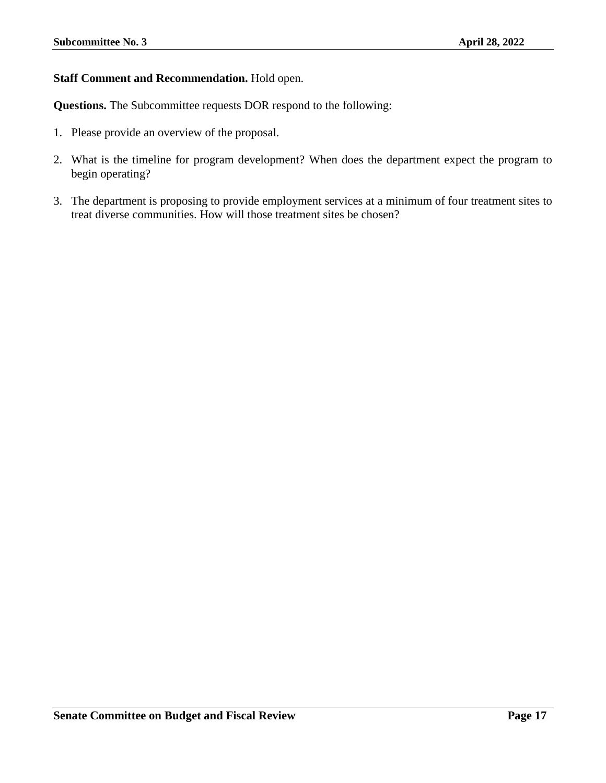#### **Staff Comment and Recommendation.** Hold open.

**Questions.** The Subcommittee requests DOR respond to the following:

- 1. Please provide an overview of the proposal.
- 2. What is the timeline for program development? When does the department expect the program to begin operating?
- 3. The department is proposing to provide employment services at a minimum of four treatment sites to treat diverse communities. How will those treatment sites be chosen?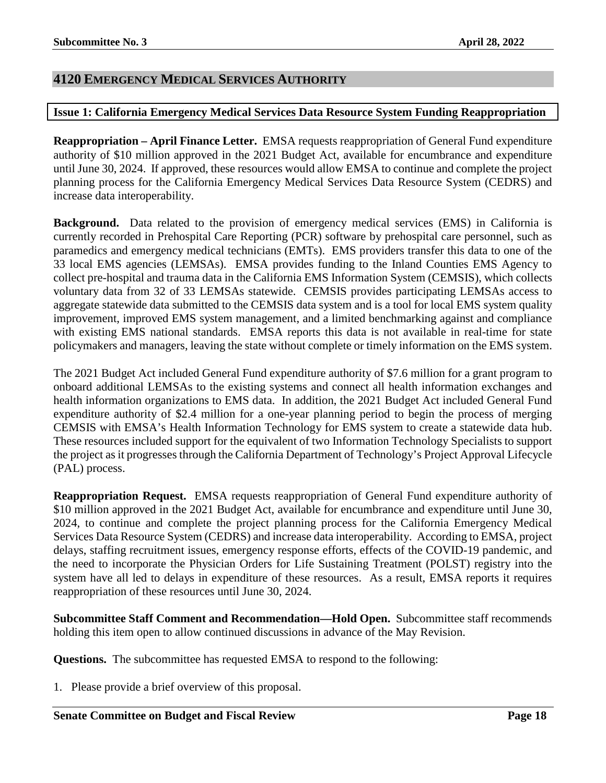#### <span id="page-17-0"></span>**4120 EMERGENCY MEDICAL SERVICES AUTHORITY**

#### <span id="page-17-1"></span>**Issue 1: California Emergency Medical Services Data Resource System Funding Reappropriation**

**Reappropriation – April Finance Letter.** EMSA requests reappropriation of General Fund expenditure authority of \$10 million approved in the 2021 Budget Act, available for encumbrance and expenditure until June 30, 2024. If approved, these resources would allow EMSA to continue and complete the project planning process for the California Emergency Medical Services Data Resource System (CEDRS) and increase data interoperability.

**Background.** Data related to the provision of emergency medical services (EMS) in California is currently recorded in Prehospital Care Reporting (PCR) software by prehospital care personnel, such as paramedics and emergency medical technicians (EMTs). EMS providers transfer this data to one of the 33 local EMS agencies (LEMSAs). EMSA provides funding to the Inland Counties EMS Agency to collect pre-hospital and trauma data in the California EMS Information System (CEMSIS), which collects voluntary data from 32 of 33 LEMSAs statewide. CEMSIS provides participating LEMSAs access to aggregate statewide data submitted to the CEMSIS data system and is a tool for local EMS system quality improvement, improved EMS system management, and a limited benchmarking against and compliance with existing EMS national standards. EMSA reports this data is not available in real-time for state policymakers and managers, leaving the state without complete or timely information on the EMS system.

The 2021 Budget Act included General Fund expenditure authority of \$7.6 million for a grant program to onboard additional LEMSAs to the existing systems and connect all health information exchanges and health information organizations to EMS data. In addition, the 2021 Budget Act included General Fund expenditure authority of \$2.4 million for a one-year planning period to begin the process of merging CEMSIS with EMSA's Health Information Technology for EMS system to create a statewide data hub. These resources included support for the equivalent of two Information Technology Specialists to support the project as it progresses through the California Department of Technology's Project Approval Lifecycle (PAL) process.

**Reappropriation Request.** EMSA requests reappropriation of General Fund expenditure authority of \$10 million approved in the 2021 Budget Act, available for encumbrance and expenditure until June 30, 2024, to continue and complete the project planning process for the California Emergency Medical Services Data Resource System (CEDRS) and increase data interoperability. According to EMSA, project delays, staffing recruitment issues, emergency response efforts, effects of the COVID-19 pandemic, and the need to incorporate the Physician Orders for Life Sustaining Treatment (POLST) registry into the system have all led to delays in expenditure of these resources. As a result, EMSA reports it requires reappropriation of these resources until June 30, 2024.

**Subcommittee Staff Comment and Recommendation—Hold Open.** Subcommittee staff recommends holding this item open to allow continued discussions in advance of the May Revision.

**Questions.** The subcommittee has requested EMSA to respond to the following: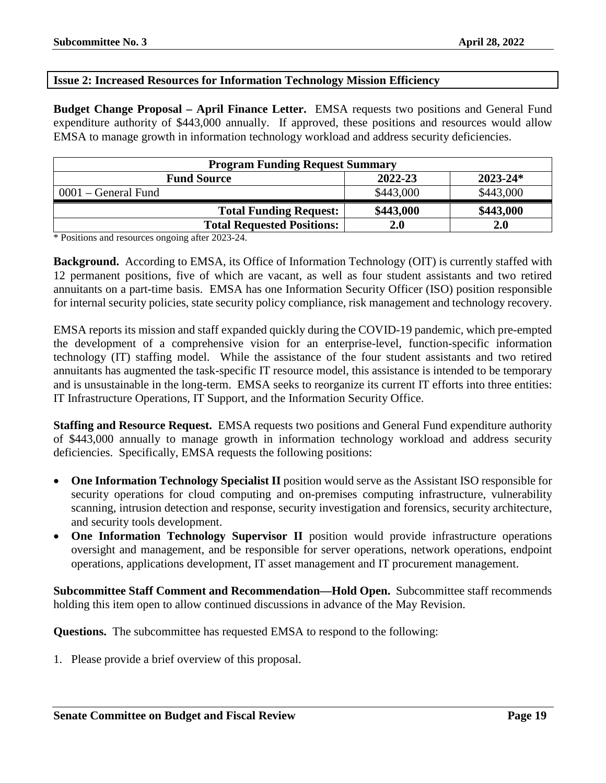#### <span id="page-18-0"></span>**Issue 2: Increased Resources for Information Technology Mission Efficiency**

**Budget Change Proposal – April Finance Letter.** EMSA requests two positions and General Fund expenditure authority of \$443,000 annually. If approved, these positions and resources would allow EMSA to manage growth in information technology workload and address security deficiencies.

| <b>Program Funding Request Summary</b>        |           |           |  |  |
|-----------------------------------------------|-----------|-----------|--|--|
| 2022-23<br>$2023 - 24*$<br><b>Fund Source</b> |           |           |  |  |
| $0001$ – General Fund                         | \$443,000 | \$443,000 |  |  |
| <b>Total Funding Request:</b>                 | \$443,000 | \$443,000 |  |  |
| <b>Total Requested Positions:</b>             | 2.0       | 2.0       |  |  |

\* Positions and resources ongoing after 2023-24.

**Background.** According to EMSA, its Office of Information Technology (OIT) is currently staffed with 12 permanent positions, five of which are vacant, as well as four student assistants and two retired annuitants on a part-time basis. EMSA has one Information Security Officer (ISO) position responsible for internal security policies, state security policy compliance, risk management and technology recovery.

EMSA reports its mission and staff expanded quickly during the COVID-19 pandemic, which pre-empted the development of a comprehensive vision for an enterprise-level, function-specific information technology (IT) staffing model. While the assistance of the four student assistants and two retired annuitants has augmented the task-specific IT resource model, this assistance is intended to be temporary and is unsustainable in the long-term. EMSA seeks to reorganize its current IT efforts into three entities: IT Infrastructure Operations, IT Support, and the Information Security Office.

**Staffing and Resource Request.** EMSA requests two positions and General Fund expenditure authority of \$443,000 annually to manage growth in information technology workload and address security deficiencies. Specifically, EMSA requests the following positions:

- **One Information Technology Specialist II** position would serve as the Assistant ISO responsible for security operations for cloud computing and on-premises computing infrastructure, vulnerability scanning, intrusion detection and response, security investigation and forensics, security architecture, and security tools development.
- **One Information Technology Supervisor II** position would provide infrastructure operations oversight and management, and be responsible for server operations, network operations, endpoint operations, applications development, IT asset management and IT procurement management.

**Subcommittee Staff Comment and Recommendation—Hold Open.** Subcommittee staff recommends holding this item open to allow continued discussions in advance of the May Revision.

**Questions.** The subcommittee has requested EMSA to respond to the following: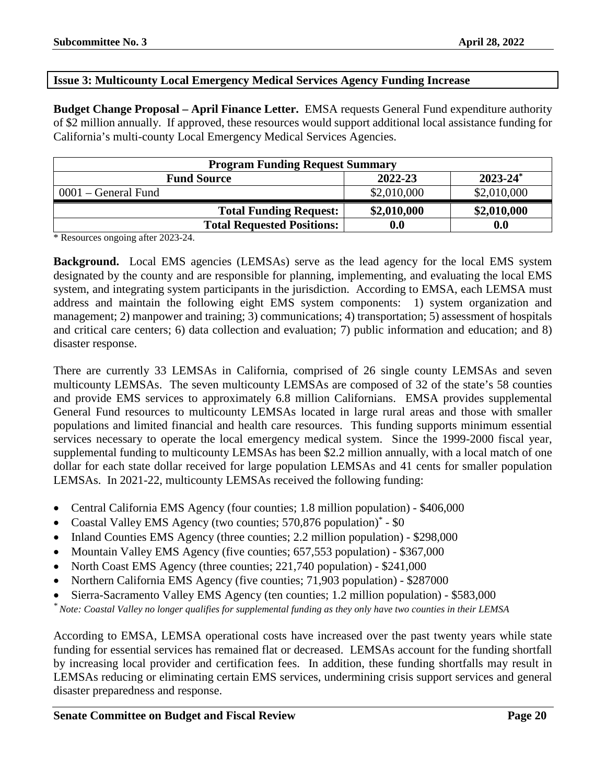#### <span id="page-19-0"></span>**Issue 3: Multicounty Local Emergency Medical Services Agency Funding Increase**

**Budget Change Proposal – April Finance Letter.** EMSA requests General Fund expenditure authority of \$2 million annually. If approved, these resources would support additional local assistance funding for California's multi-county Local Emergency Medical Services Agencies.

| <b>Program Funding Request Summary</b>         |                    |             |  |  |
|------------------------------------------------|--------------------|-------------|--|--|
| $2023 - 24^*$<br>2022-23<br><b>Fund Source</b> |                    |             |  |  |
| 0001 – General Fund                            | \$2,010,000        | \$2,010,000 |  |  |
| <b>Total Funding Request:</b>                  | \$2,010,000        | \$2,010,000 |  |  |
| <b>Total Requested Positions:</b>              | $\boldsymbol{0.0}$ | 0.0         |  |  |

\* Resources ongoing after 2023-24.

**Background.** Local EMS agencies (LEMSAs) serve as the lead agency for the local EMS system designated by the county and are responsible for planning, implementing, and evaluating the local EMS system, and integrating system participants in the jurisdiction. According to EMSA, each LEMSA must address and maintain the following eight EMS system components: 1) system organization and management; 2) manpower and training; 3) communications; 4) transportation; 5) assessment of hospitals and critical care centers; 6) data collection and evaluation; 7) public information and education; and 8) disaster response.

There are currently 33 LEMSAs in California, comprised of 26 single county LEMSAs and seven multicounty LEMSAs. The seven multicounty LEMSAs are composed of 32 of the state's 58 counties and provide EMS services to approximately 6.8 million Californians. EMSA provides supplemental General Fund resources to multicounty LEMSAs located in large rural areas and those with smaller populations and limited financial and health care resources. This funding supports minimum essential services necessary to operate the local emergency medical system. Since the 1999-2000 fiscal year, supplemental funding to multicounty LEMSAs has been \$2.2 million annually, with a local match of one dollar for each state dollar received for large population LEMSAs and 41 cents for smaller population LEMSAs. In 2021-22, multicounty LEMSAs received the following funding:

- Central California EMS Agency (four counties; 1.8 million population) \$406,000
- Coastal Valley EMS Agency (two counties; 570,876 population)\* \$0
- Inland Counties EMS Agency (three counties; 2.2 million population) \$298,000
- Mountain Valley EMS Agency (five counties; 657,553 population) \$367,000
- North Coast EMS Agency (three counties; 221,740 population) \$241,000
- Northern California EMS Agency (five counties; 71,903 population) \$287000
- Sierra-Sacramento Valley EMS Agency (ten counties; 1.2 million population) \$583,000

*\* Note: Coastal Valley no longer qualifies for supplemental funding as they only have two counties in their LEMSA*

According to EMSA, LEMSA operational costs have increased over the past twenty years while state funding for essential services has remained flat or decreased. LEMSAs account for the funding shortfall by increasing local provider and certification fees. In addition, these funding shortfalls may result in LEMSAs reducing or eliminating certain EMS services, undermining crisis support services and general disaster preparedness and response.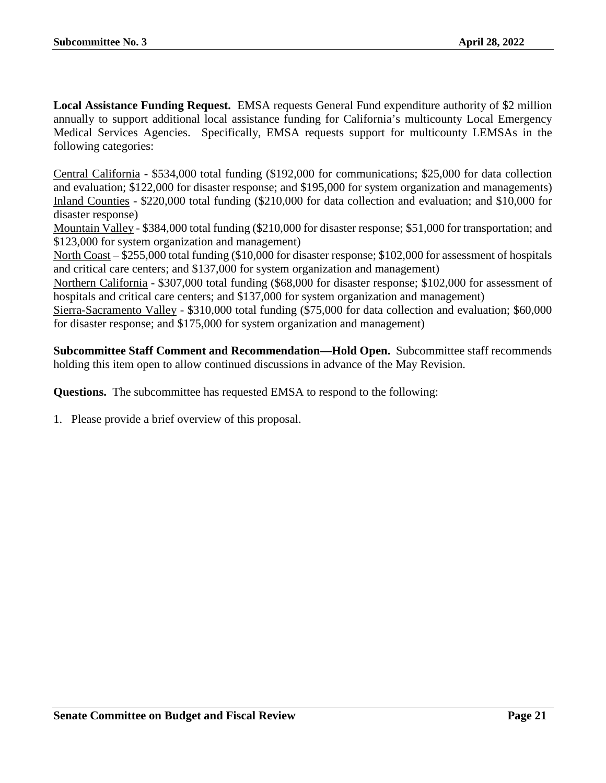**Local Assistance Funding Request.** EMSA requests General Fund expenditure authority of \$2 million annually to support additional local assistance funding for California's multicounty Local Emergency Medical Services Agencies. Specifically, EMSA requests support for multicounty LEMSAs in the following categories:

Central California - \$534,000 total funding (\$192,000 for communications; \$25,000 for data collection and evaluation; \$122,000 for disaster response; and \$195,000 for system organization and managements) Inland Counties - \$220,000 total funding (\$210,000 for data collection and evaluation; and \$10,000 for disaster response)

Mountain Valley - \$384,000 total funding (\$210,000 for disaster response; \$51,000 for transportation; and \$123,000 for system organization and management)

North Coast – \$255,000 total funding (\$10,000 for disaster response; \$102,000 for assessment of hospitals and critical care centers; and \$137,000 for system organization and management)

Northern California - \$307,000 total funding (\$68,000 for disaster response; \$102,000 for assessment of hospitals and critical care centers; and \$137,000 for system organization and management)

Sierra-Sacramento Valley - \$310,000 total funding (\$75,000 for data collection and evaluation; \$60,000 for disaster response; and \$175,000 for system organization and management)

**Subcommittee Staff Comment and Recommendation—Hold Open.** Subcommittee staff recommends holding this item open to allow continued discussions in advance of the May Revision.

**Questions.** The subcommittee has requested EMSA to respond to the following: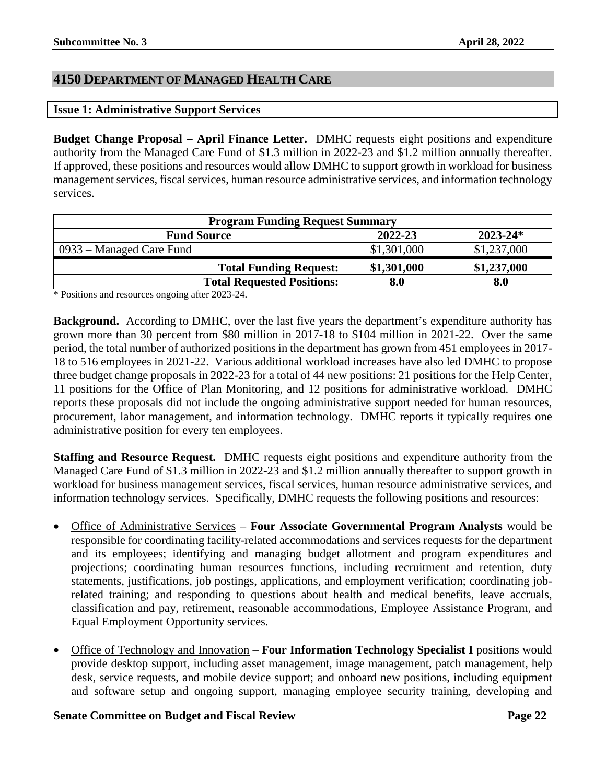## <span id="page-21-0"></span>**4150 DEPARTMENT OF MANAGED HEALTH CARE**

#### <span id="page-21-1"></span>**Issue 1: Administrative Support Services**

**Budget Change Proposal – April Finance Letter.** DMHC requests eight positions and expenditure authority from the Managed Care Fund of \$1.3 million in 2022-23 and \$1.2 million annually thereafter. If approved, these positions and resources would allow DMHC to support growth in workload for business management services, fiscal services, human resource administrative services, and information technology services.

| <b>Program Funding Request Summary</b> |             |              |
|----------------------------------------|-------------|--------------|
| <b>Fund Source</b>                     | 2022-23     | $2023 - 24*$ |
| 0933 – Managed Care Fund               | \$1,301,000 | \$1,237,000  |
| <b>Total Funding Request:</b>          | \$1,301,000 | \$1,237,000  |
| <b>Total Requested Positions:</b>      | 8.0         | 8.0          |

\* Positions and resources ongoing after 2023-24.

**Background.** According to DMHC, over the last five years the department's expenditure authority has grown more than 30 percent from \$80 million in 2017-18 to \$104 million in 2021-22. Over the same period, the total number of authorized positions in the department has grown from 451 employees in 2017- 18 to 516 employees in 2021-22. Various additional workload increases have also led DMHC to propose three budget change proposals in 2022-23 for a total of 44 new positions: 21 positions for the Help Center, 11 positions for the Office of Plan Monitoring, and 12 positions for administrative workload. DMHC reports these proposals did not include the ongoing administrative support needed for human resources, procurement, labor management, and information technology. DMHC reports it typically requires one administrative position for every ten employees.

**Staffing and Resource Request.** DMHC requests eight positions and expenditure authority from the Managed Care Fund of \$1.3 million in 2022-23 and \$1.2 million annually thereafter to support growth in workload for business management services, fiscal services, human resource administrative services, and information technology services. Specifically, DMHC requests the following positions and resources:

- Office of Administrative Services **Four Associate Governmental Program Analysts** would be responsible for coordinating facility-related accommodations and services requests for the department and its employees; identifying and managing budget allotment and program expenditures and projections; coordinating human resources functions, including recruitment and retention, duty statements, justifications, job postings, applications, and employment verification; coordinating jobrelated training; and responding to questions about health and medical benefits, leave accruals, classification and pay, retirement, reasonable accommodations, Employee Assistance Program, and Equal Employment Opportunity services.
- Office of Technology and Innovation **Four Information Technology Specialist I** positions would provide desktop support, including asset management, image management, patch management, help desk, service requests, and mobile device support; and onboard new positions, including equipment and software setup and ongoing support, managing employee security training, developing and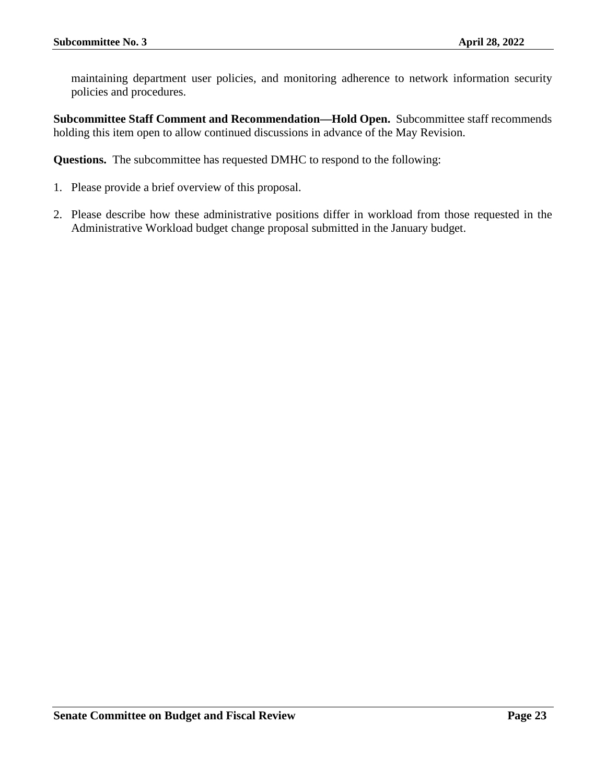maintaining department user policies, and monitoring adherence to network information security policies and procedures.

**Subcommittee Staff Comment and Recommendation—Hold Open.** Subcommittee staff recommends holding this item open to allow continued discussions in advance of the May Revision.

**Questions.** The subcommittee has requested DMHC to respond to the following:

- 1. Please provide a brief overview of this proposal.
- 2. Please describe how these administrative positions differ in workload from those requested in the Administrative Workload budget change proposal submitted in the January budget.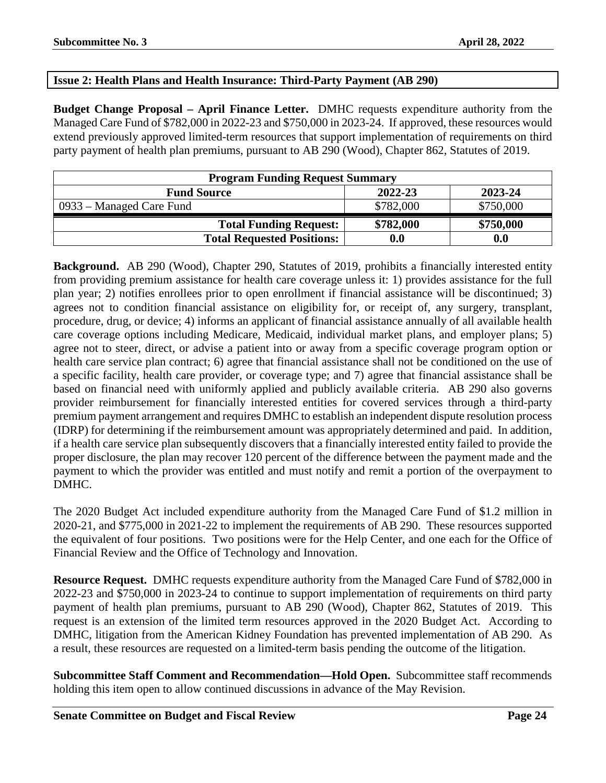#### <span id="page-23-0"></span>**Issue 2: Health Plans and Health Insurance: Third-Party Payment (AB 290)**

**Budget Change Proposal – April Finance Letter.** DMHC requests expenditure authority from the Managed Care Fund of \$782,000 in 2022-23 and \$750,000 in 2023-24. If approved, these resources would extend previously approved limited-term resources that support implementation of requirements on third party payment of health plan premiums, pursuant to AB 290 (Wood), Chapter 862, Statutes of 2019.

| <b>Program Funding Request Summary</b> |           |           |
|----------------------------------------|-----------|-----------|
| <b>Fund Source</b>                     | 2022-23   | 2023-24   |
| 0933 – Managed Care Fund               | \$782,000 | \$750,000 |
| <b>Total Funding Request:</b>          | \$782,000 | \$750,000 |
| <b>Total Requested Positions:</b>      | 0.0       | 0.0       |

**Background.** AB 290 (Wood), Chapter 290, Statutes of 2019, prohibits a financially interested entity from providing premium assistance for health care coverage unless it: 1) provides assistance for the full plan year; 2) notifies enrollees prior to open enrollment if financial assistance will be discontinued; 3) agrees not to condition financial assistance on eligibility for, or receipt of, any surgery, transplant, procedure, drug, or device; 4) informs an applicant of financial assistance annually of all available health care coverage options including Medicare, Medicaid, individual market plans, and employer plans; 5) agree not to steer, direct, or advise a patient into or away from a specific coverage program option or health care service plan contract; 6) agree that financial assistance shall not be conditioned on the use of a specific facility, health care provider, or coverage type; and 7) agree that financial assistance shall be based on financial need with uniformly applied and publicly available criteria. AB 290 also governs provider reimbursement for financially interested entities for covered services through a third-party premium payment arrangement and requires DMHC to establish an independent dispute resolution process (IDRP) for determining if the reimbursement amount was appropriately determined and paid. In addition, if a health care service plan subsequently discovers that a financially interested entity failed to provide the proper disclosure, the plan may recover 120 percent of the difference between the payment made and the payment to which the provider was entitled and must notify and remit a portion of the overpayment to DMHC.

The 2020 Budget Act included expenditure authority from the Managed Care Fund of \$1.2 million in 2020-21, and \$775,000 in 2021-22 to implement the requirements of AB 290. These resources supported the equivalent of four positions. Two positions were for the Help Center, and one each for the Office of Financial Review and the Office of Technology and Innovation.

**Resource Request.** DMHC requests expenditure authority from the Managed Care Fund of \$782,000 in 2022-23 and \$750,000 in 2023-24 to continue to support implementation of requirements on third party payment of health plan premiums, pursuant to AB 290 (Wood), Chapter 862, Statutes of 2019. This request is an extension of the limited term resources approved in the 2020 Budget Act. According to DMHC, litigation from the American Kidney Foundation has prevented implementation of AB 290. As a result, these resources are requested on a limited-term basis pending the outcome of the litigation.

**Subcommittee Staff Comment and Recommendation—Hold Open.** Subcommittee staff recommends holding this item open to allow continued discussions in advance of the May Revision.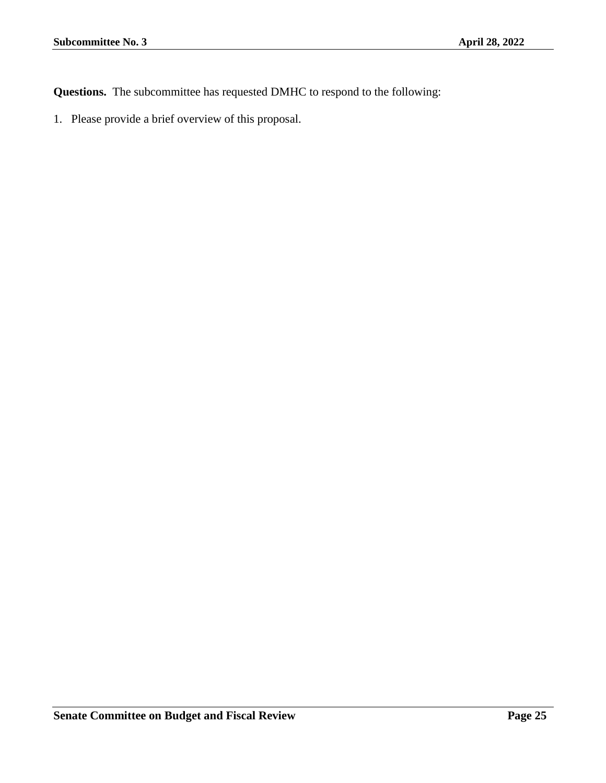**Questions.** The subcommittee has requested DMHC to respond to the following: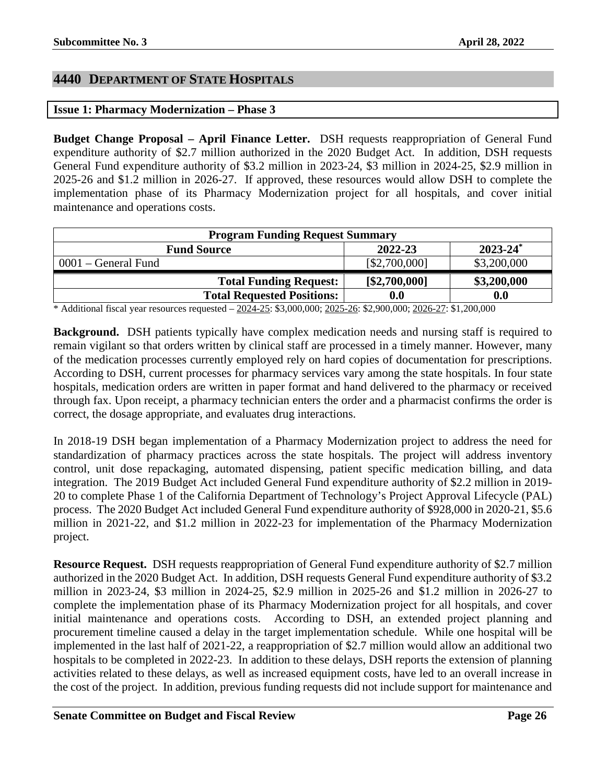#### <span id="page-25-0"></span>**4440 DEPARTMENT OF STATE HOSPITALS**

#### <span id="page-25-1"></span>**Issue 1: Pharmacy Modernization – Phase 3**

**Budget Change Proposal – April Finance Letter.** DSH requests reappropriation of General Fund expenditure authority of \$2.7 million authorized in the 2020 Budget Act. In addition, DSH requests General Fund expenditure authority of \$3.2 million in 2023-24, \$3 million in 2024-25, \$2.9 million in 2025-26 and \$1.2 million in 2026-27. If approved, these resources would allow DSH to complete the implementation phase of its Pharmacy Modernization project for all hospitals, and cover initial maintenance and operations costs.

| <b>Program Funding Request Summary</b> |               |               |
|----------------------------------------|---------------|---------------|
| <b>Fund Source</b>                     | 2022-23       | $2023 - 24^*$ |
| 0001 – General Fund                    | [\$2,700,000] | \$3,200,000   |
| <b>Total Funding Request:</b>          | [\$2,700,000] | \$3,200,000   |
| <b>Total Requested Positions:</b>      | 0.0           | 0.0           |

\* Additional fiscal year resources requested – 2024-25: \$3,000,000; 2025-26: \$2,900,000; 2026-27: \$1,200,000

**Background.** DSH patients typically have complex medication needs and nursing staff is required to remain vigilant so that orders written by clinical staff are processed in a timely manner. However, many of the medication processes currently employed rely on hard copies of documentation for prescriptions. According to DSH, current processes for pharmacy services vary among the state hospitals. In four state hospitals, medication orders are written in paper format and hand delivered to the pharmacy or received through fax. Upon receipt, a pharmacy technician enters the order and a pharmacist confirms the order is correct, the dosage appropriate, and evaluates drug interactions.

In 2018-19 DSH began implementation of a Pharmacy Modernization project to address the need for standardization of pharmacy practices across the state hospitals. The project will address inventory control, unit dose repackaging, automated dispensing, patient specific medication billing, and data integration. The 2019 Budget Act included General Fund expenditure authority of \$2.2 million in 2019- 20 to complete Phase 1 of the California Department of Technology's Project Approval Lifecycle (PAL) process. The 2020 Budget Act included General Fund expenditure authority of \$928,000 in 2020-21, \$5.6 million in 2021-22, and \$1.2 million in 2022-23 for implementation of the Pharmacy Modernization project.

**Resource Request.** DSH requests reappropriation of General Fund expenditure authority of \$2.7 million authorized in the 2020 Budget Act. In addition, DSH requests General Fund expenditure authority of \$3.2 million in 2023-24, \$3 million in 2024-25, \$2.9 million in 2025-26 and \$1.2 million in 2026-27 to complete the implementation phase of its Pharmacy Modernization project for all hospitals, and cover initial maintenance and operations costs. According to DSH, an extended project planning and procurement timeline caused a delay in the target implementation schedule. While one hospital will be implemented in the last half of 2021-22, a reappropriation of \$2.7 million would allow an additional two hospitals to be completed in 2022-23. In addition to these delays, DSH reports the extension of planning activities related to these delays, as well as increased equipment costs, have led to an overall increase in the cost of the project. In addition, previous funding requests did not include support for maintenance and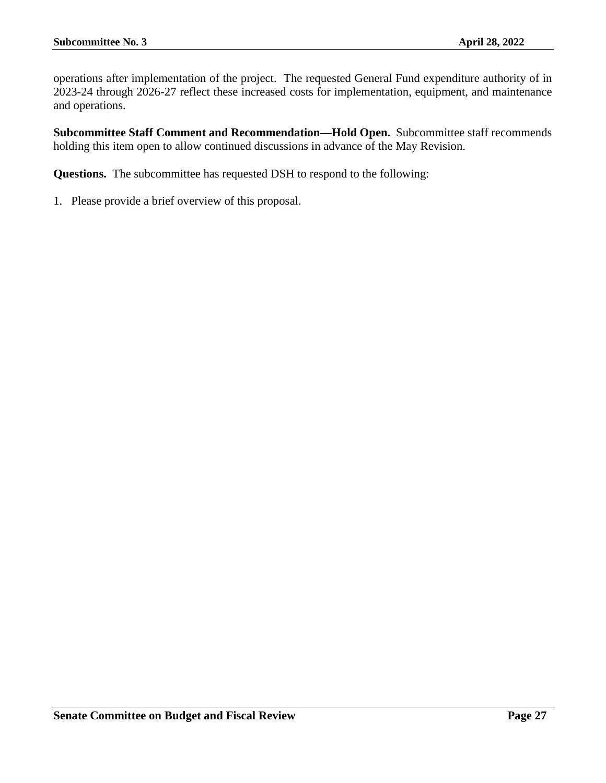operations after implementation of the project. The requested General Fund expenditure authority of in 2023-24 through 2026-27 reflect these increased costs for implementation, equipment, and maintenance and operations.

**Subcommittee Staff Comment and Recommendation—Hold Open.** Subcommittee staff recommends holding this item open to allow continued discussions in advance of the May Revision.

**Questions.** The subcommittee has requested DSH to respond to the following: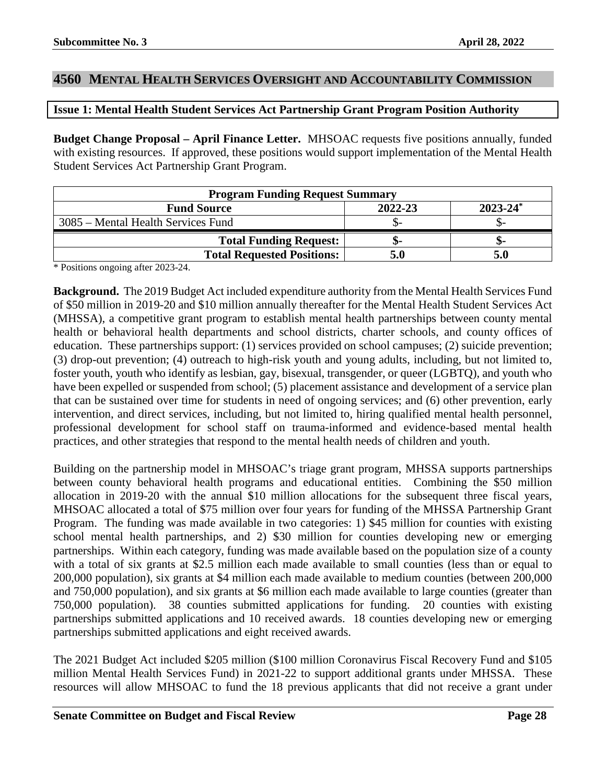#### <span id="page-27-0"></span>**4560 MENTAL HEALTH SERVICES OVERSIGHT AND ACCOUNTABILITY COMMISSION**

#### <span id="page-27-1"></span>**Issue 1: Mental Health Student Services Act Partnership Grant Program Position Authority**

**Budget Change Proposal – April Finance Letter.** MHSOAC requests five positions annually, funded with existing resources. If approved, these positions would support implementation of the Mental Health Student Services Act Partnership Grant Program.

| <b>Program Funding Request Summary</b> |         |               |
|----------------------------------------|---------|---------------|
| <b>Fund Source</b>                     | 2022-23 | $2023 - 24^*$ |
| 3085 – Mental Health Services Fund     |         |               |
| <b>Total Funding Request:</b>          |         | -ת.           |
| <b>Total Requested Positions:</b>      |         |               |

\* Positions ongoing after 2023-24.

**Background.** The 2019 Budget Act included expenditure authority from the Mental Health Services Fund of \$50 million in 2019-20 and \$10 million annually thereafter for the Mental Health Student Services Act (MHSSA), a competitive grant program to establish mental health partnerships between county mental health or behavioral health departments and school districts, charter schools, and county offices of education. These partnerships support: (1) services provided on school campuses; (2) suicide prevention; (3) drop-out prevention; (4) outreach to high-risk youth and young adults, including, but not limited to, foster youth, youth who identify as lesbian, gay, bisexual, transgender, or queer (LGBTQ), and youth who have been expelled or suspended from school; (5) placement assistance and development of a service plan that can be sustained over time for students in need of ongoing services; and (6) other prevention, early intervention, and direct services, including, but not limited to, hiring qualified mental health personnel, professional development for school staff on trauma-informed and evidence-based mental health practices, and other strategies that respond to the mental health needs of children and youth.

Building on the partnership model in MHSOAC's triage grant program, MHSSA supports partnerships between county behavioral health programs and educational entities. Combining the \$50 million allocation in 2019-20 with the annual \$10 million allocations for the subsequent three fiscal years, MHSOAC allocated a total of \$75 million over four years for funding of the MHSSA Partnership Grant Program. The funding was made available in two categories: 1) \$45 million for counties with existing school mental health partnerships, and 2) \$30 million for counties developing new or emerging partnerships. Within each category, funding was made available based on the population size of a county with a total of six grants at \$2.5 million each made available to small counties (less than or equal to 200,000 population), six grants at \$4 million each made available to medium counties (between 200,000 and 750,000 population), and six grants at \$6 million each made available to large counties (greater than 750,000 population). 38 counties submitted applications for funding. 20 counties with existing partnerships submitted applications and 10 received awards. 18 counties developing new or emerging partnerships submitted applications and eight received awards.

The 2021 Budget Act included \$205 million (\$100 million Coronavirus Fiscal Recovery Fund and \$105 million Mental Health Services Fund) in 2021-22 to support additional grants under MHSSA. These resources will allow MHSOAC to fund the 18 previous applicants that did not receive a grant under